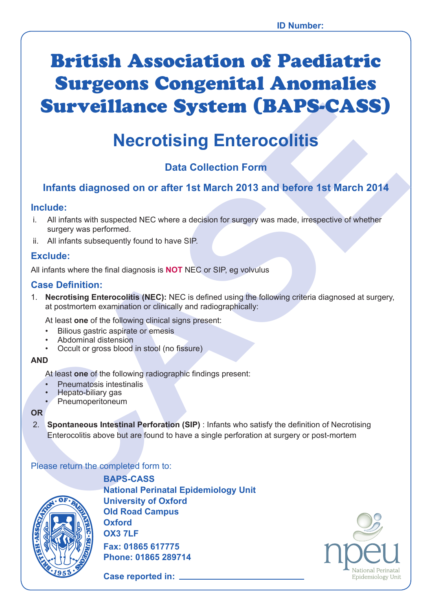# British Association of Paediatric Surgeons Congenital Anomalies Surveillance System (BAPS-CASS)

# **Necrotising Enterocolitis**

# **Data Collection Form**

### **Infants diagnosed on or after 1st March 2013 and before 1st March 2014**

#### **Include:**

- i. All infants with suspected NEC where a decision for surgery was made, irrespective of whether surgery was performed.
- ii. All infants subsequently found to have SIP.

#### **Exclude:**

All infants where the final diagnosis is **NOT** NEC or SIP, eg volvulus

#### **Case Definition:**

**CALCOMBITY CONTROVER CONTROVER CONTROVER CONTROVER CONTROVER CONTROVER CONTROVER CONTROVER CONTROVER CONTROVER CONTROVER CONTROVER CONTROVER CONTROVER CONTROVER CONTROVER CONTROVER CONTROVER CONTROVER CONTROVER CONTROVER** 1. **Necrotising Enterocolitis (NEC):** NEC is defined using the following criteria diagnosed at surgery, at postmortem examination or clinically and radiographically:

At least **one** of the following clinical signs present:

- Bilious gastric aspirate or emesis
- Abdominal distension
- Occult or gross blood in stool (no fissure)

#### **AND**

At least **one** of the following radiographic findings present:

- Pneumatosis intestinalis
- Hepato-biliary gas
- Pneumoperitoneum

#### **OR**

2. **Spontaneous Intestinal Perforation (SIP)** : Infants who satisfy the definition of Necrotising Enterocolitis above but are found to have a single perforation at surgery or post-mortem

#### Please return the completed form to:



**BAPS-CASS National Perinatal Epidemiology Unit University of Oxford Old Road Campus Oxford OX3 7LF Fax: 01865 617775 Phone: 01865 289714**

**Case reported in:** 

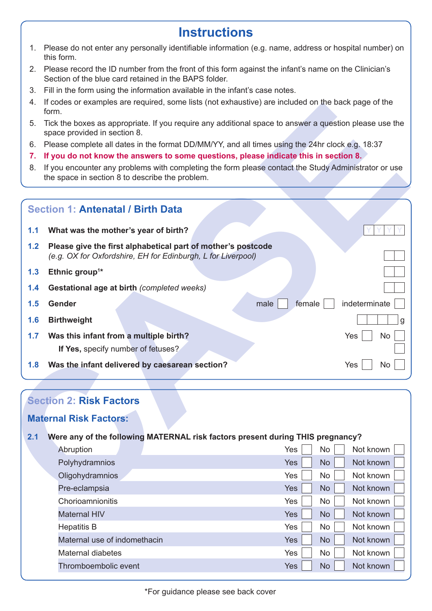# **Instructions**

- 1. Please do not enter any personally identifiable information (e.g. name, address or hospital number) on this form.
- 2. Please record the ID number from the front of this form against the infant's name on the Clinician's Section of the blue card retained in the BAPS folder.
- 3. Fill in the form using the information available in the infant's case notes.
- 4. If codes or examples are required, some lists (not exhaustive) are included on the back page of the form.
- 5. Tick the boxes as appropriate. If you require any additional space to answer a question please use the space provided in section 8.
- 6. Please complete all dates in the format DD/MM/YY, and all times using the 24hr clock e.g. 18:37
- **7. If you do not know the answers to some questions, please indicate this in section 8.**
- 8. If you encounter any problems with completing the form please contact the Study Administrator or use the space in section 8 to describe the problem.

|     | tricodes or examples are required, some lists (not exhaustive) are included on the back page of the<br>form.                                            |                                 |
|-----|---------------------------------------------------------------------------------------------------------------------------------------------------------|---------------------------------|
| 5.  | Tick the boxes as appropriate. If you require any additional space to answer a question please use the<br>space provided in section 8.                  |                                 |
| 6.  | Please complete all dates in the format DD/MM/YY, and all times using the 24hr clock e.g. 18:37                                                         |                                 |
| 7.  | If you do not know the answers to some questions, please indicate this in section 8.                                                                    |                                 |
| 8.  | If you encounter any problems with completing the form please contact the Study Administrator or use<br>the space in section 8 to describe the problem. |                                 |
|     | <b>Section 1: Antenatal / Birth Data</b>                                                                                                                |                                 |
| 1.1 | What was the mother's year of birth?                                                                                                                    |                                 |
| 1.2 | Please give the first alphabetical part of mother's postcode<br>(e.g. OX for Oxfordshire, EH for Edinburgh, L for Liverpool)                            |                                 |
| 1.3 | Ethnic group <sup>1*</sup>                                                                                                                              |                                 |
| 1.4 | Gestational age at birth (completed weeks)                                                                                                              |                                 |
| 1.5 | Gender                                                                                                                                                  | indeterminate<br>male<br>female |
| 1.6 | <b>Birthweight</b>                                                                                                                                      |                                 |
| 1.7 | Was this infant from a multiple birth?                                                                                                                  | Yes<br>No                       |
|     | If Yes, specify number of fetuses?                                                                                                                      |                                 |
| 1.8 | Was the infant delivered by caesarean section?                                                                                                          | Yes<br>No                       |
|     |                                                                                                                                                         |                                 |
|     |                                                                                                                                                         |                                 |
|     | <b>Section 2: Risk Factors</b>                                                                                                                          |                                 |
|     | <b>Maternal Risk Factors:</b>                                                                                                                           |                                 |
| 2.1 | Were any of the following MATERNAL risk factors present during THIS pregnancy?                                                                          |                                 |
|     | Abruption                                                                                                                                               | No<br>Not known<br>Yes          |
|     | Polyhydramnios                                                                                                                                          | Yes<br><b>No</b><br>Not known   |
|     | Oligohydramnios                                                                                                                                         | Yes<br>Not known<br>No          |
|     | Pre-eclampsia                                                                                                                                           | Yes<br><b>No</b><br>Not known   |
|     | Chorioamnionitis                                                                                                                                        | Yes<br>No<br>Not known          |
|     | $1 - 1 - \dots - 1$ 1 1 1 $\frac{1}{2}$                                                                                                                 | $\sqrt{1-4}$                    |

## **Section 2: Risk Factors**

#### **Maternal Risk Factors:**

# **2.1 Were any of the following MATERNAL risk factors present during THIS pregnancy?** Abruption Abruption Abruption Abruption Abruption Abruption Mes Polyhydramnios **Yes No Not known** Oligohydramnios Yes No Not known Pre-eclampsia Yes Not known and the Second Contract of the Yes Not Known and American Second Latin Second Latin Chorioamnionitis **The Chorioamnionitis** Yes No Not known Maternal HIV **No. 1998** No. 1999 No. 1999 No. 1999 No. 1999 No. 1999 No. 1999 No. 1999 No. 1999 No. 1999 No. 1999 Hepatitis B Yes No Not known Maternal use of indomethacin Note 2008 Note 2012 West No. Not known Maternal diabetes  $Yes \tNo \tNol$  Not known Thromboembolic event Thromas No No No Not known Not known Not known Not known Not known Not known Not known No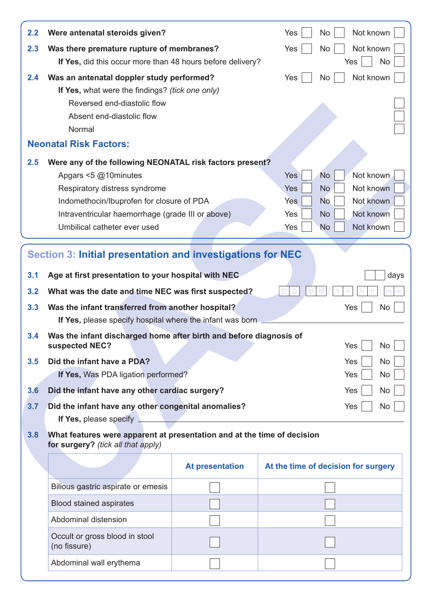| 2.2               | Were antenatal steroids given?                                                                                                                                                                                                |                        | Yes        | Not known<br>No                            |
|-------------------|-------------------------------------------------------------------------------------------------------------------------------------------------------------------------------------------------------------------------------|------------------------|------------|--------------------------------------------|
| 2.3               | Was there premature rupture of membranes?<br>If Yes, did this occur more than 48 hours before delivery?                                                                                                                       |                        | Yes        | Not known<br><b>No</b><br>Yes<br><b>No</b> |
| 2.4               | Was an antenatal doppler study performed?                                                                                                                                                                                     |                        | Yes        | Not known<br>No                            |
|                   | If Yes, what were the findings? (tick one only)                                                                                                                                                                               |                        |            |                                            |
|                   | Reversed end-diastolic flow                                                                                                                                                                                                   |                        |            |                                            |
|                   | Absent end-diastolic flow                                                                                                                                                                                                     |                        |            |                                            |
|                   | Normal                                                                                                                                                                                                                        |                        |            |                                            |
|                   | <b>Neonatal Risk Factors:</b>                                                                                                                                                                                                 |                        |            |                                            |
| 2.5               | Were any of the following NEONATAL risk factors present?                                                                                                                                                                      |                        |            |                                            |
|                   | Apgars <5 @10minutes                                                                                                                                                                                                          |                        | <b>Yes</b> | <b>No</b><br>Not known                     |
|                   | Respiratory distress syndrome                                                                                                                                                                                                 |                        | <b>Yes</b> | Not known<br>N <sub>o</sub>                |
|                   | Indomethocin/Ibuprofen for closure of PDA                                                                                                                                                                                     |                        | <b>Yes</b> | Not known<br><b>No</b>                     |
|                   | Intraventricular haemorrhage (grade III or above)                                                                                                                                                                             |                        | Yes        | Not known<br><b>No</b>                     |
|                   | Umbilical catheter ever used                                                                                                                                                                                                  |                        | Yes        | Not known<br><b>No</b>                     |
| 3.1<br>3.2<br>3.3 | Section 3: Initial presentation and investigations for NEC<br>Age at first presentation to your hospital with NEC<br>What was the date and time NEC was first suspected?<br>Was the infant transferred from another hospital? |                        |            | days<br>Yes<br>No                          |
| 3.4               | If Yes, please specify hospital where the infant was born<br>Was the infant discharged home after birth and before diagnosis of                                                                                               |                        |            |                                            |
| 3.5               | suspected NEC?<br>Did the infant have a PDA?                                                                                                                                                                                  |                        |            | Yes<br>No<br>Yes<br>No                     |
|                   | If Yes, Was PDA ligation performed?                                                                                                                                                                                           |                        |            | Yes<br>No                                  |
| 3.6               | Did the infant have any other cardiac surgery?                                                                                                                                                                                |                        |            | Yes<br>No                                  |
| 3.7               | Did the infant have any other congenital anomalies?<br>If Yes, please specify                                                                                                                                                 |                        |            | Yes<br>No                                  |
| 3.8               | What features were apparent at presentation and at the time of decision<br>for surgery? (tick all that apply)                                                                                                                 |                        |            |                                            |
|                   |                                                                                                                                                                                                                               | <b>At presentation</b> |            | At the time of decision for surgery        |
|                   | Bilious gastric aspirate or emesis                                                                                                                                                                                            |                        |            |                                            |
|                   | <b>Blood stained aspirates</b>                                                                                                                                                                                                |                        |            |                                            |
|                   | Abdominal distension                                                                                                                                                                                                          |                        |            |                                            |
|                   | Occult or gross blood in stool<br>(no fissure)                                                                                                                                                                                |                        |            |                                            |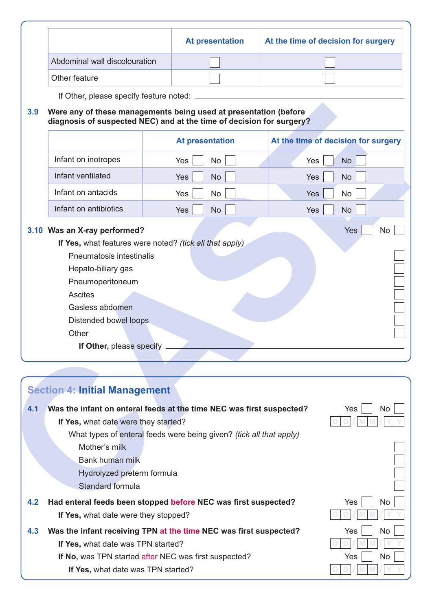|     |                                                                                                                                          | <b>At presentation</b>                                               | At the time of decision for surgery |  |
|-----|------------------------------------------------------------------------------------------------------------------------------------------|----------------------------------------------------------------------|-------------------------------------|--|
|     | Abdominal wall discolouration                                                                                                            |                                                                      |                                     |  |
|     | Other feature                                                                                                                            |                                                                      |                                     |  |
|     | If Other, please specify feature noted:                                                                                                  |                                                                      |                                     |  |
| 3.9 |                                                                                                                                          |                                                                      |                                     |  |
|     | Were any of these managements being used at presentation (before<br>diagnosis of suspected NEC) and at the time of decision for surgery? |                                                                      |                                     |  |
|     |                                                                                                                                          | <b>At presentation</b>                                               | At the time of decision for surgery |  |
|     | Infant on inotropes                                                                                                                      | No<br>Yes                                                            | <b>No</b><br>Yes                    |  |
|     | Infant ventilated                                                                                                                        | <b>No</b><br><b>Yes</b>                                              | Yes<br><b>No</b>                    |  |
|     | Infant on antacids                                                                                                                       | Yes<br>No                                                            | Yes<br>No                           |  |
|     | Infant on antibiotics                                                                                                                    | <b>No</b><br>Yes                                                     | Yes<br><b>No</b>                    |  |
|     | Pneumatosis intestinalis<br>Hepato-biliary gas<br>Pneumoperitoneum<br><b>Ascites</b>                                                     |                                                                      |                                     |  |
|     | Gasless abdomen<br>Distended bowel loops<br>Other                                                                                        |                                                                      |                                     |  |
|     | If Other, please specify _                                                                                                               |                                                                      |                                     |  |
|     |                                                                                                                                          |                                                                      |                                     |  |
|     |                                                                                                                                          |                                                                      |                                     |  |
|     | <b>Section 4: Initial Management</b>                                                                                                     |                                                                      |                                     |  |
| 4.1 |                                                                                                                                          | Was the infant on enteral feeds at the time NEC was first suspected? | Yes<br>No                           |  |
|     | If Yes, what date were they started?                                                                                                     |                                                                      |                                     |  |
|     |                                                                                                                                          | What types of enteral feeds were being given? (tick all that apply)  |                                     |  |
|     | Mother's milk<br><b>Bank human milk</b>                                                                                                  |                                                                      |                                     |  |
|     | Hydrolyzed preterm formula                                                                                                               |                                                                      |                                     |  |

|     | <b>Section 4: Initial Management</b>                                 |            |
|-----|----------------------------------------------------------------------|------------|
| 4.1 | Was the infant on enteral feeds at the time NEC was first suspected? | Yes<br>No. |
|     | If Yes, what date were they started?                                 |            |
|     | What types of enteral feeds were being given? (tick all that apply)  |            |
|     | Mother's milk                                                        |            |
|     | Bank human milk                                                      |            |
|     | Hydrolyzed preterm formula                                           |            |
|     | Standard formula                                                     |            |
| 4.2 | Had enteral feeds been stopped before NEC was first suspected?       | Yes<br>No. |
|     | If Yes, what date were they stopped?                                 |            |
| 4.3 | Was the infant receiving TPN at the time NEC was first suspected?    | Yes<br>No. |
|     | If Yes, what date was TPN started?                                   |            |
|     | <b>If No, was TPN started after NEC was first suspected?</b>         | Yes<br>No. |
|     | If Yes, what date was TPN started?                                   |            |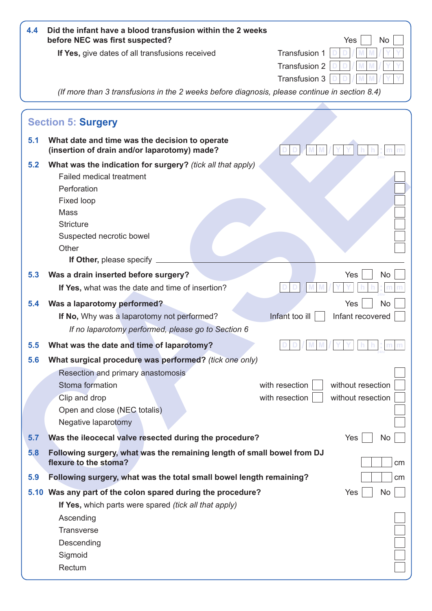| 4.4 | Did the infant have a blood transfusion within the 2 weeks<br>before NEC was first suspected?                                                                                                                           | Yes<br>No                                                                  |
|-----|-------------------------------------------------------------------------------------------------------------------------------------------------------------------------------------------------------------------------|----------------------------------------------------------------------------|
|     | If Yes, give dates of all transfusions received                                                                                                                                                                         | Transfusion 1<br><b>Transfusion 2</b><br>Transfusion 3                     |
|     | (If more than 3 transfusions in the 2 weeks before diagnosis, please continue in section 8.4)                                                                                                                           |                                                                            |
|     | <b>Section 5: Surgery</b>                                                                                                                                                                                               |                                                                            |
| 5.1 | What date and time was the decision to operate<br>(insertion of drain and/or laparotomy) made?                                                                                                                          |                                                                            |
| 5.2 | What was the indication for surgery? (tick all that apply)<br>Failed medical treatment<br>Perforation<br>Fixed loop<br><b>Mass</b><br><b>Stricture</b><br>Suspected necrotic bowel<br>Other<br>If Other, please specify |                                                                            |
| 5.3 | Was a drain inserted before surgery?                                                                                                                                                                                    | No<br>Yes                                                                  |
|     | If Yes, what was the date and time of insertion?                                                                                                                                                                        |                                                                            |
| 5.4 | Was a laparotomy performed?<br>If No, Why was a laparotomy not performed?<br>If no laparotomy performed, please go to Section 6                                                                                         | No<br>Yes<br>Infant too ill<br>Infant recovered                            |
| 5.5 | What was the date and time of laparotomy?                                                                                                                                                                               |                                                                            |
| 5.6 | What surgical procedure was performed? (tick one only)<br>Resection and primary anastomosis<br>Stoma formation<br>Clip and drop<br>Open and close (NEC totalis)<br>Negative laparotomy                                  | with resection<br>without resection<br>without resection<br>with resection |
| 5.7 | Was the ileocecal valve resected during the procedure?                                                                                                                                                                  | Yes<br>No                                                                  |
| 5.8 | Following surgery, what was the remaining length of small bowel from DJ<br>flexure to the stoma?                                                                                                                        | cm                                                                         |
| 5.9 | Following surgery, what was the total small bowel length remaining?                                                                                                                                                     | cm                                                                         |
|     | 5.10 Was any part of the colon spared during the procedure?<br>If Yes, which parts were spared <i>(tick all that apply)</i><br>Ascending                                                                                | No<br>Yes                                                                  |
|     | <b>Transverse</b><br>Descending<br>Sigmoid<br>Rectum                                                                                                                                                                    |                                                                            |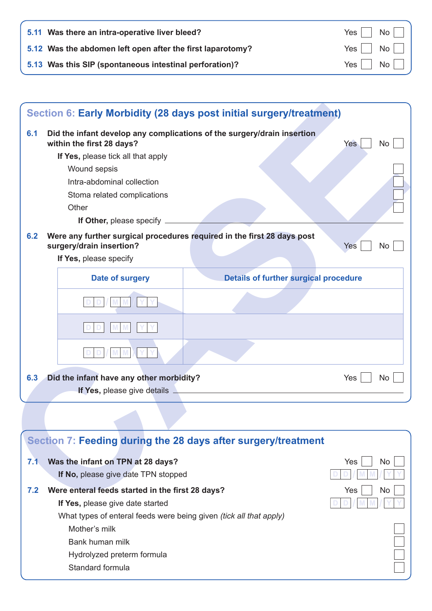| 5.11 Was there an intra-operative liver bleed?             |                                          |
|------------------------------------------------------------|------------------------------------------|
| 5.12 Was the abdomen left open after the first laparotomy? | $Yes \tNo$                               |
| 5.13 Was this SIP (spontaneous intestinal perforation)?    | $Yes \nightharpoonup No \nightharpoonup$ |

| 6.1 | Did the infant develop any complications of the surgery/drain insertion<br>within the first 28 days?                          | Yes<br><b>No</b>                                              |
|-----|-------------------------------------------------------------------------------------------------------------------------------|---------------------------------------------------------------|
|     | If Yes, please tick all that apply                                                                                            |                                                               |
|     | Wound sepsis                                                                                                                  |                                                               |
|     | Intra-abdominal collection                                                                                                    |                                                               |
|     | Stoma related complications                                                                                                   |                                                               |
|     | Other                                                                                                                         |                                                               |
|     | If Other, please specify _______                                                                                              |                                                               |
| 6.2 | Were any further surgical procedures required in the first 28 days post<br>surgery/drain insertion?<br>If Yes, please specify | Yes<br>No                                                     |
|     | Date of surgery                                                                                                               | <b>Details of further surgical procedure</b>                  |
|     |                                                                                                                               |                                                               |
|     |                                                                                                                               |                                                               |
|     |                                                                                                                               |                                                               |
| 6.3 | Did the infant have any other morbidity?                                                                                      | Yes<br>No.                                                    |
|     | If Yes, please give details $\Box$                                                                                            |                                                               |
|     |                                                                                                                               |                                                               |
|     |                                                                                                                               |                                                               |
|     |                                                                                                                               | Section 7: Feeding during the 28 days after surgery/treatment |
| 7.1 | Was the infant on TPN at 28 days?                                                                                             | Yes<br>No                                                     |
|     | If No, please give date TPN stopped                                                                                           |                                                               |
| 7.2 | Were enteral feeds started in the first 28 days?                                                                              | No<br>Yes                                                     |

|     | Section 7: Feeding during the 28 days after surgery/treatment             |            |
|-----|---------------------------------------------------------------------------|------------|
| 7.1 | Was the infant on TPN at 28 days?                                         | Yes<br>No. |
|     | If No, please give date TPN stopped                                       |            |
| 7.2 | Were enteral feeds started in the first 28 days?                          | Yes<br>No. |
|     | If Yes, please give date started                                          |            |
|     | What types of enteral feeds were being given <i>(tick all that apply)</i> |            |
|     | Mother's milk                                                             |            |
|     | Bank human milk                                                           |            |
|     | Hydrolyzed preterm formula                                                |            |
|     | Standard formula                                                          |            |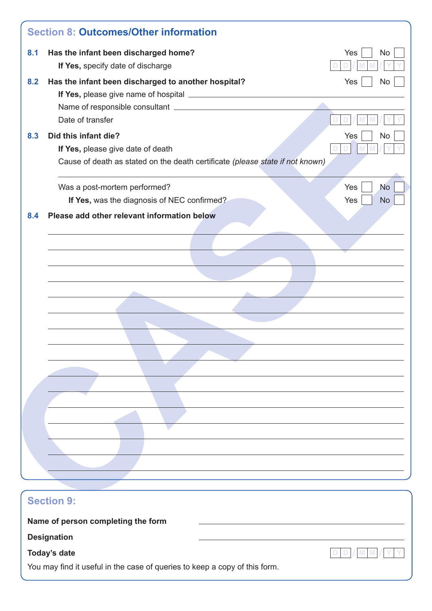| 8.1 | Has the infant been discharged home?                                          | Yes<br><b>No</b> |
|-----|-------------------------------------------------------------------------------|------------------|
|     | If Yes, specify date of discharge                                             |                  |
| 8.2 | Has the infant been discharged to another hospital?                           | Yes<br><b>No</b> |
|     |                                                                               |                  |
|     | Date of transfer                                                              |                  |
|     | Did this infant die?                                                          |                  |
| 8.3 | If Yes, please give date of death                                             | Yes<br><b>No</b> |
|     | Cause of death as stated on the death certificate (please state if not known) |                  |
|     | Was a post-mortem performed?                                                  | Yes<br><b>No</b> |
|     | If Yes, was the diagnosis of NEC confirmed?                                   | Yes<br><b>No</b> |
| 8.4 | Please add other relevant information below                                   |                  |
|     |                                                                               |                  |
|     |                                                                               |                  |
|     |                                                                               |                  |
|     |                                                                               |                  |
|     |                                                                               |                  |
|     |                                                                               |                  |
|     |                                                                               |                  |
|     |                                                                               |                  |
|     |                                                                               |                  |
|     |                                                                               |                  |
|     |                                                                               |                  |
|     |                                                                               |                  |
|     |                                                                               |                  |
|     |                                                                               |                  |
|     |                                                                               |                  |
|     |                                                                               |                  |
|     |                                                                               |                  |
|     |                                                                               |                  |
|     |                                                                               |                  |
|     | <b>Section 9:</b>                                                             |                  |
|     | Name of person completing the form                                            |                  |
|     |                                                                               |                  |
|     | <b>Designation</b>                                                            |                  |